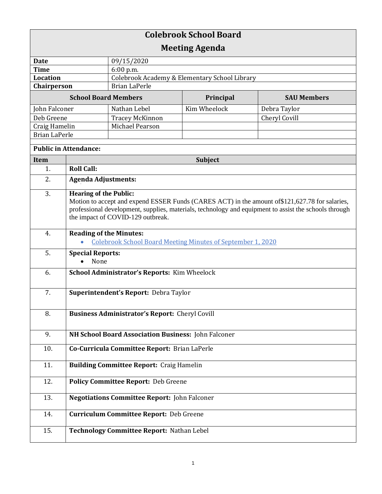| <b>Colebrook School Board</b> |                                                                                                                                                                                                                                                                                |                                               |                |                    |  |
|-------------------------------|--------------------------------------------------------------------------------------------------------------------------------------------------------------------------------------------------------------------------------------------------------------------------------|-----------------------------------------------|----------------|--------------------|--|
| <b>Meeting Agenda</b>         |                                                                                                                                                                                                                                                                                |                                               |                |                    |  |
| <b>Date</b>                   |                                                                                                                                                                                                                                                                                | 09/15/2020                                    |                |                    |  |
| <b>Time</b>                   |                                                                                                                                                                                                                                                                                | 6:00 p.m.                                     |                |                    |  |
| Location                      |                                                                                                                                                                                                                                                                                | Colebrook Academy & Elementary School Library |                |                    |  |
| Chairperson                   |                                                                                                                                                                                                                                                                                | <b>Brian LaPerle</b>                          |                |                    |  |
| <b>School Board Members</b>   |                                                                                                                                                                                                                                                                                |                                               | Principal      | <b>SAU Members</b> |  |
| John Falconer                 |                                                                                                                                                                                                                                                                                | Nathan Lebel                                  | Kim Wheelock   | Debra Taylor       |  |
| Deb Greene                    |                                                                                                                                                                                                                                                                                | <b>Tracey McKinnon</b>                        |                | Cheryl Covill      |  |
| Craig Hamelin                 |                                                                                                                                                                                                                                                                                | Michael Pearson                               |                |                    |  |
| <b>Brian LaPerle</b>          |                                                                                                                                                                                                                                                                                |                                               |                |                    |  |
| <b>Public in Attendance:</b>  |                                                                                                                                                                                                                                                                                |                                               |                |                    |  |
| Item                          |                                                                                                                                                                                                                                                                                |                                               | <b>Subject</b> |                    |  |
| 1.                            | <b>Roll Call:</b>                                                                                                                                                                                                                                                              |                                               |                |                    |  |
| 2.                            | <b>Agenda Adjustments:</b>                                                                                                                                                                                                                                                     |                                               |                |                    |  |
| 3.                            | <b>Hearing of the Public:</b><br>Motion to accept and expend ESSER Funds (CARES ACT) in the amount of \$121,627.78 for salaries,<br>professional development, supplies, materials, technology and equipment to assist the schools through<br>the impact of COVID-129 outbreak. |                                               |                |                    |  |
| 4.                            | <b>Reading of the Minutes:</b><br><b>Colebrook School Board Meeting Minutes of September 1, 2020</b>                                                                                                                                                                           |                                               |                |                    |  |
| 5.                            | <b>Special Reports:</b><br>None                                                                                                                                                                                                                                                |                                               |                |                    |  |
| 6.                            | School Administrator's Reports: Kim Wheelock                                                                                                                                                                                                                                   |                                               |                |                    |  |
| 7.                            | Superintendent's Report: Debra Taylor                                                                                                                                                                                                                                          |                                               |                |                    |  |
| 8.                            | <b>Business Administrator's Report: Cheryl Covill</b>                                                                                                                                                                                                                          |                                               |                |                    |  |
| 9.                            | NH School Board Association Business: John Falconer                                                                                                                                                                                                                            |                                               |                |                    |  |
| 10.                           | Co-Curricula Committee Report: Brian LaPerle                                                                                                                                                                                                                                   |                                               |                |                    |  |
| 11.                           | <b>Building Committee Report: Craig Hamelin</b>                                                                                                                                                                                                                                |                                               |                |                    |  |
| 12.                           | <b>Policy Committee Report: Deb Greene</b>                                                                                                                                                                                                                                     |                                               |                |                    |  |
| 13.                           | <b>Negotiations Committee Report: John Falconer</b>                                                                                                                                                                                                                            |                                               |                |                    |  |
| 14.                           | <b>Curriculum Committee Report: Deb Greene</b>                                                                                                                                                                                                                                 |                                               |                |                    |  |
| 15.                           | Technology Committee Report: Nathan Lebel                                                                                                                                                                                                                                      |                                               |                |                    |  |